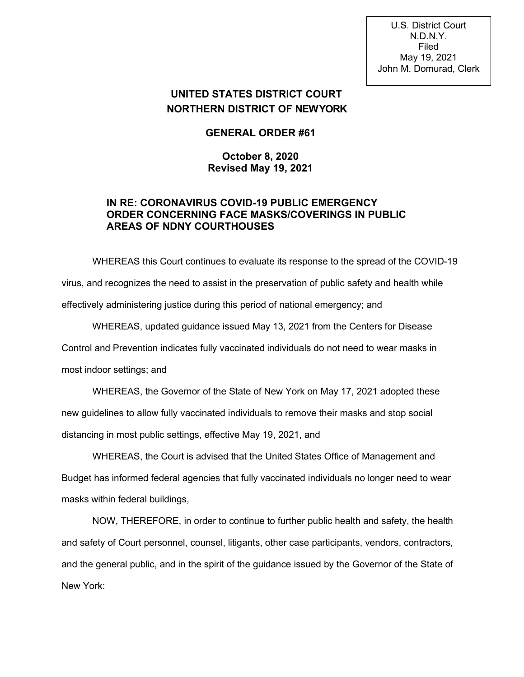U.S. District Court N.D.N.Y. Filed May 19, 2021 John M. Domurad, Clerk

## **UNITED STATES DISTRICT COURT NORTHERN DISTRICT OF NEWYORK**

**GENERAL ORDER #61**

## **October 8, 2020 Revised May 19, 2021**

## **IN RE: CORONAVIRUS COVID-19 PUBLIC EMERGENCY ORDER CONCERNING FACE MASKS/COVERINGS IN PUBLIC AREAS OF NDNY COURTHOUSES**

WHEREAS this Court continues to evaluate its response to the spread of the COVID-19 virus, and recognizes the need to assist in the preservation of public safety and health while effectively administering justice during this period of national emergency; and

WHEREAS, updated guidance issued May 13, 2021 from the Centers for Disease Control and Prevention indicates fully vaccinated individuals do not need to wear masks in most indoor settings; and

WHEREAS, the Governor of the State of New York on May 17, 2021 adopted these new guidelines to allow fully vaccinated individuals to remove their masks and stop social distancing in most public settings, effective May 19, 2021, and

WHEREAS, the Court is advised that the United States Office of Management and Budget has informed federal agencies that fully vaccinated individuals no longer need to wear masks within federal buildings,

NOW, THEREFORE, in order to continue to further public health and safety, the health and safety of Court personnel, counsel, litigants, other case participants, vendors, contractors, and the general public, and in the spirit of the guidance issued by the Governor of the State of New York: